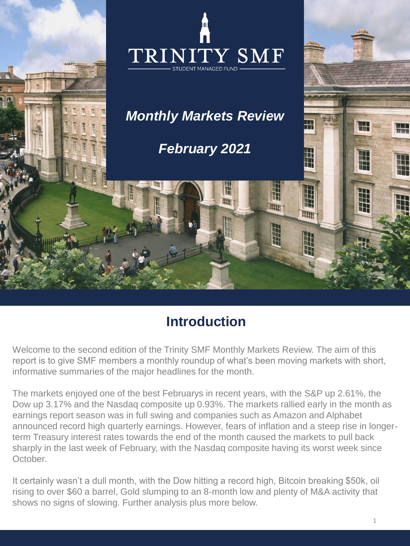

## **Introduction**

Welcome to the second edition of the Trinity SMF Monthly Markets Review. The aim of this report is to give SMF members a monthly roundup of what's been moving markets with short, informative summaries of the major headlines for the month.

The markets enjoyed one of the best Februarys in recent years, with the S&P up 2.61%, the Dow up 3.17% and the Nasdaq composite up 0.93%. The markets rallied early in the month as earnings report season was in full swing and companies such as Amazon and Alphabet announced record high quarterly earnings. However, fears of inflation and a steep rise in longerterm Treasury interest rates towards the end of the month caused the markets to pull back sharply in the last week of February, with the Nasdaq composite having its worst week since October.

It certainly wasn't a dull month, with the Dow hitting a record high, Bitcoin breaking \$50k, oil rising to over \$60 a barrel, Gold slumping to an 8-month low and plenty of M&A activity that shows no signs of slowing. Further analysis plus more below.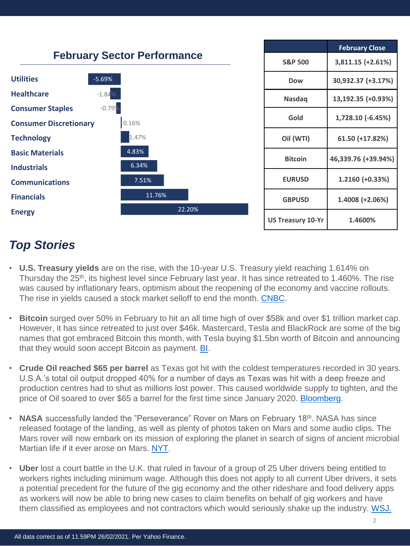

## *Top Stories*

- **U.S. Treasury yields** are on the rise, with the 10-year U.S. Treasury yield reaching 1.614% on Thursday the 25<sup>th</sup>, its highest level since February last year. It has since retreated to 1.460%. The rise was caused by inflationary fears, optimism about the reopening of the economy and vaccine rollouts. The rise in yields caused a stock market selloff to end the month. [CNBC](https://www.cnbc.com/2021/02/26/us-bonds-10-year-treasury-yield-retreats-but-holds-above-1point4percent.html).
- **Bitcoin** surged over 50% in February to hit an all time high of over \$58k and over \$1 trillion market cap. However, it has since retreated to just over \$46k. Mastercard, Tesla and BlackRock are some of the big names that got embraced Bitcoin this month, with Tesla buying \$1.5bn worth of Bitcoin and announcing that they would soon accept Bitcoin as payment. **BI**.
- **Crude Oil reached \$65 per barrel** as Texas got hit with the coldest temperatures recorded in 30 years. U.S.A.'s total oil output dropped 40% for a number of days as Texas was hit with a deep freeze and production centres had to shut as millions lost power. This caused worldwide supply to tighten, and the price of Oil soared to over \$65 a barrel for the first time since January 2020. [Bloomberg.](https://www.bloomberg.com/news/articles/2021-02-17/big-freeze-in-texas-is-becoming-a-global-oil-market-crisis?srnd=premium)
- **NASA** successfully landed the "Perseverance" Rover on Mars on February 18th. NASA has since released footage of the landing, as well as plenty of photos taken on Mars and some audio clips. The Mars rover will now embark on its mission of exploring the planet in search of signs of ancient microbial Martian life if it ever arose on Mars. [NYT.](https://www.nytimes.com/2021/02/22/science/mars-landing-nasa-video.html)
- **Uber** lost a court battle in the U.K. that ruled in favour of a group of 25 Uber drivers being entitled to workers rights including minimum wage. Although this does not apply to all current Uber drivers, it sets a potential precedent for the future of the gig economy and the other rideshare and food delivery apps as workers will now be able to bring new cases to claim benefits on behalf of gig workers and have them classified as employees and not contractors which would seriously shake up the industry. [WSJ.](https://www.wsj.com/articles/uber-faces-setback-as-u-k-court-rules-drivers-are-entitled-to-worker-rights-11613729882?mod=hp_lead_pos1)